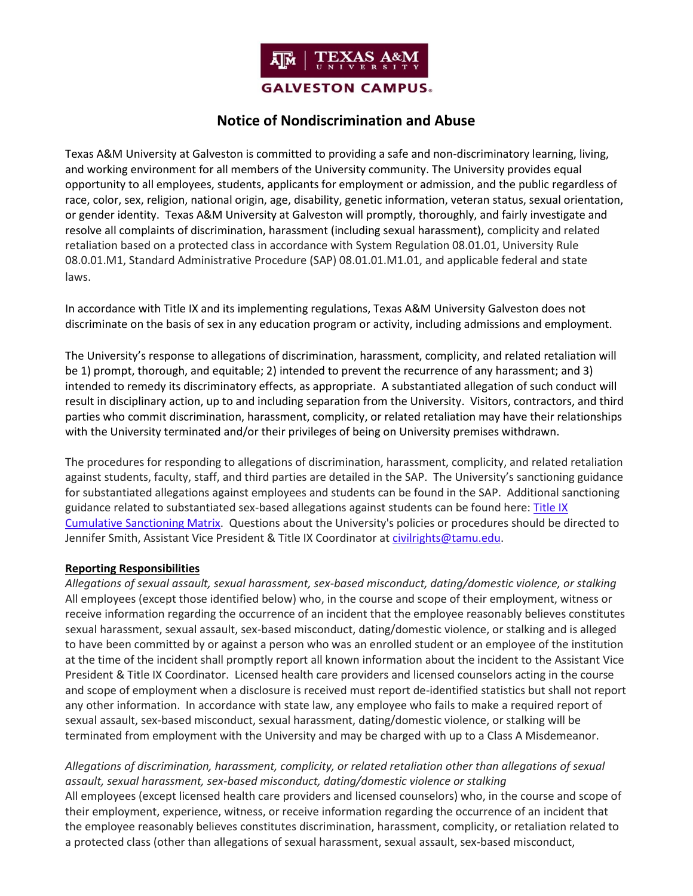

# **Notice of Nondiscrimination and Abuse**

Texas A&M University at Galveston is committed to providing a safe and non-discriminatory learning, living, and working environment for all members of the University community. The University provides equal opportunity to all employees, students, applicants for employment or admission, and the public regardless of race, color, sex, religion, national origin, age, disability, genetic information, veteran status, sexual orientation, or gender identity. Texas A&M University at Galveston will promptly, thoroughly, and fairly investigate and resolve all complaints of discrimination, harassment (including sexual harassment), complicity and related retaliation based on a protected class in accordance with System Regulation 08.01.01, University Rule 08.0.01.M1, Standard Administrative Procedure (SAP) 08.01.01.M1.01, and applicable federal and state laws.

In accordance with Title IX and its implementing regulations, Texas A&M University Galveston does not discriminate on the basis of sex in any education program or activity, including admissions and employment.

The University's response to allegations of discrimination, harassment, complicity, and related retaliation will be 1) prompt, thorough, and equitable; 2) intended to prevent the recurrence of any harassment; and 3) intended to remedy its discriminatory effects, as appropriate. A substantiated allegation of such conduct will result in disciplinary action, up to and including separation from the University. Visitors, contractors, and third parties who commit discrimination, harassment, complicity, or related retaliation may have their relationships with the University terminated and/or their privileges of being on University premises withdrawn.

The procedures for responding to allegations of discrimination, harassment, complicity, and related retaliation against students, faculty, staff, and third parties are detailed in the SAP. The University's sanctioning guidance for substantiated allegations against employees and students can be found in the SAP. Additional sanctioning guidance related to substantiated sex-based allegations against students can be found here: [Title IX](https://titleix.tamu.edu/sanctioning-matrix/)  [Cumulative Sanctioning Matrix.](https://titleix.tamu.edu/sanctioning-matrix/) Questions about the University's policies or procedures should be directed to Jennifer Smith, Assistant Vice President & Title IX Coordinator at [civilrights@tamu.edu.](mailto:civilrights@tamu.edu)

#### **Reporting Responsibilities**

*Allegations of sexual assault, sexual harassment, sex-based misconduct, dating/domestic violence, or stalking* All employees (except those identified below) who, in the course and scope of their employment, witness or receive information regarding the occurrence of an incident that the employee reasonably believes constitutes sexual harassment, sexual assault, sex-based misconduct, dating/domestic violence, or stalking and is alleged to have been committed by or against a person who was an enrolled student or an employee of the institution at the time of the incident shall promptly report all known information about the incident to the Assistant Vice President & Title IX Coordinator. Licensed health care providers and licensed counselors acting in the course and scope of employment when a disclosure is received must report de-identified statistics but shall not report any other information. In accordance with state law, any employee who fails to make a required report of sexual assault, sex-based misconduct, sexual harassment, dating/domestic violence, or stalking will be terminated from employment with the University and may be charged with up to a Class A Misdemeanor.

## *Allegations of discrimination, harassment, complicity, or related retaliation other than allegations of sexual assault, sexual harassment, sex-based misconduct, dating/domestic violence or stalking*

All employees (except licensed health care providers and licensed counselors) who, in the course and scope of their employment, experience, witness, or receive information regarding the occurrence of an incident that the employee reasonably believes constitutes discrimination, harassment, complicity, or retaliation related to a protected class (other than allegations of sexual harassment, sexual assault, sex-based misconduct,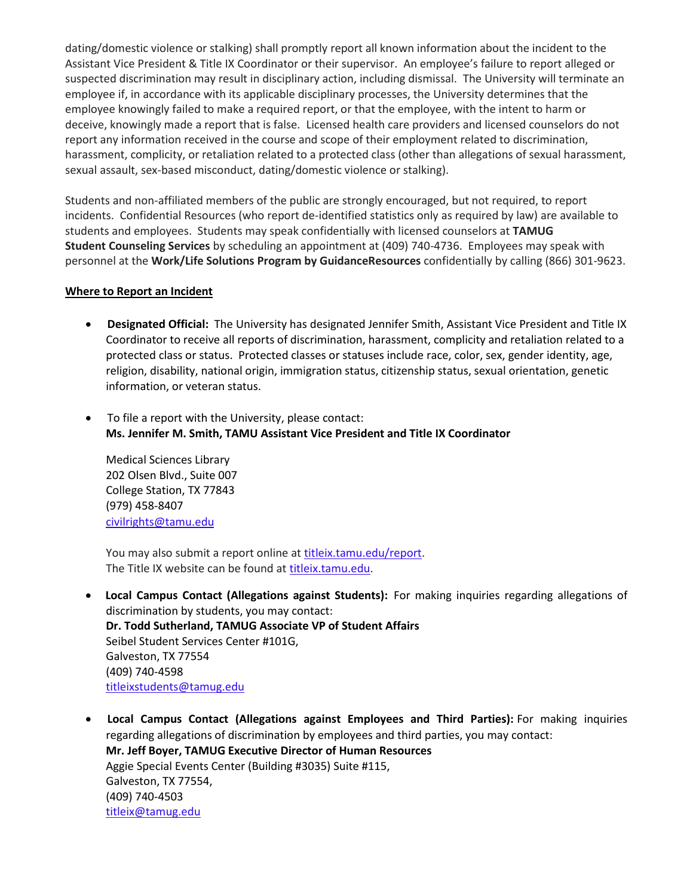dating/domestic violence or stalking) shall promptly report all known information about the incident to the Assistant Vice President & Title IX Coordinator or their supervisor. An employee's failure to report alleged or suspected discrimination may result in disciplinary action, including dismissal. The University will terminate an employee if, in accordance with its applicable disciplinary processes, the University determines that the employee knowingly failed to make a required report, or that the employee, with the intent to harm or deceive, knowingly made a report that is false. Licensed health care providers and licensed counselors do not report any information received in the course and scope of their employment related to discrimination, harassment, complicity, or retaliation related to a protected class (other than allegations of sexual harassment, sexual assault, sex-based misconduct, dating/domestic violence or stalking).

Students and non-affiliated members of the public are strongly encouraged, but not required, to report incidents. Confidential Resources (who report de-identified statistics only as required by law) are available to students and employees. Students may speak confidentially with licensed counselors at **TAMUG Student Counseling Services** by scheduling an appointment at (409) 740-4736. Employees may speak with personnel at the **Work/Life Solutions Program by GuidanceResources** confidentially by calling (866) 301-9623.

#### **Where to Report an Incident**

- **Designated Official:** The University has designated Jennifer Smith, Assistant Vice President and Title IX Coordinator to receive all reports of discrimination, harassment, complicity and retaliation related to a protected class or status. Protected classes or statuses include race, color, sex, gender identity, age, religion, disability, national origin, immigration status, citizenship status, sexual orientation, genetic information, or veteran status.
- To file a report with the University, please contact: **Ms. Jennifer M. Smith, TAMU Assistant Vice President and Title IX Coordinator**

Medical Sciences Library 202 Olsen Blvd., Suite 007 College Station, TX 77843 (979) 458-8407 [civilrights@tamu.edu](mailto:civilrights@tamu.edu)

You may also submit a report online at [titleix.tamu.edu/report.](http://trk.tamu.edu/trk/click?ref=ztotana6v_2-3aebrbu-30-65adx33be5x033443&) The Title IX website can be found at [titleix.tamu.edu.](http://trk.tamu.edu/trk/click?ref=ztotana6v_2-3aebrbu-30-65adx33be6x033443&)

- **Local Campus Contact (Allegations against Students):** For making inquiries regarding allegations of discrimination by students, you may contact: **Dr. Todd Sutherland, TAMUG Associate VP of Student Affairs** Seibel Student Services Center #101G, Galveston, TX 77554 (409) 740-4598 [titleixstudents@tamug.edu](mailto:titleixstudents@tamug.edu)
- **Local Campus Contact (Allegations against Employees and Third Parties):** For making inquiries regarding allegations of discrimination by employees and third parties, you may contact: **Mr. Jeff Boyer, TAMUG Executive Director of Human Resources** Aggie Special Events Center (Building #3035) Suite #115, Galveston, TX 77554, (409) 740-4503 [titleix@tamug.edu](mailto:titleix@tamug.edu)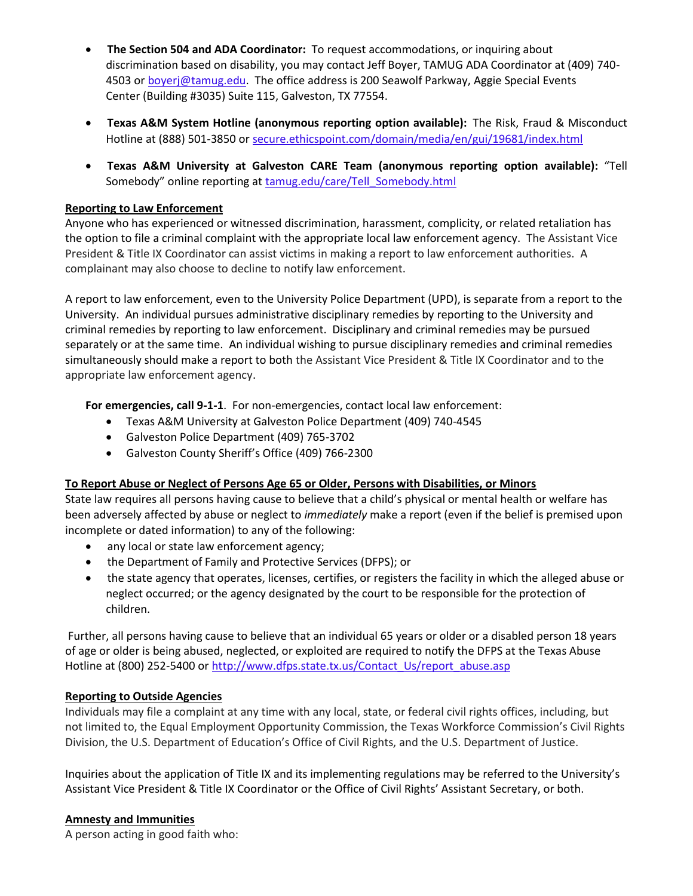- **The Section 504 and ADA Coordinator:** To request accommodations, or inquiring about discrimination based on disability, you may contact Jeff Boyer, TAMUG ADA Coordinator at (409) 740- 4503 or **[boyerj@tamug.edu.](mailto:boyerj@tamug.edu)** The office address is 200 Seawolf Parkway, Aggie Special Events Center (Building #3035) Suite 115, Galveston, TX 77554.
- **Texas A&M System Hotline (anonymous reporting option available):** The Risk, Fraud & Misconduct Hotline at (888) 501-3850 or [secure.ethicspoint.com/domain/media/en/gui/19681/index.html](https://secure.ethicspoint.com/domain/media/en/gui/19681/index.html)
- **Texas A&M University at Galveston CARE Team (anonymous reporting option available):** "Tell Somebody" online reporting at [tamug.edu/care/Tell\\_Somebody.html](http://www.tamug.edu/care/Tell_Somebody.html)

## **Reporting to Law Enforcement**

Anyone who has experienced or witnessed discrimination, harassment, complicity, or related retaliation has the option to file a criminal complaint with the appropriate local law enforcement agency. The Assistant Vice President & Title IX Coordinator can assist victims in making a report to law enforcement authorities. A complainant may also choose to decline to notify law enforcement.

A report to law enforcement, even to the University Police Department (UPD), is separate from a report to the University. An individual pursues administrative disciplinary remedies by reporting to the University and criminal remedies by reporting to law enforcement. Disciplinary and criminal remedies may be pursued separately or at the same time. An individual wishing to pursue disciplinary remedies and criminal remedies simultaneously should make a report to both the Assistant Vice President & Title IX Coordinator and to the appropriate law enforcement agency.

**For emergencies, call 9-1-1**. For non-emergencies, contact local law enforcement:

- Texas A&M University at Galveston Police Department (409) 740-4545
- Galveston Police Department (409) 765-3702
- Galveston County Sheriff's Office (409) 766-2300

#### **To Report Abuse or Neglect of Persons Age 65 or Older, Persons with Disabilities, or Minors**

State law requires all persons having cause to believe that a child's physical or mental health or welfare has been adversely affected by abuse or neglect to *immediately* make a report (even if the belief is premised upon incomplete or dated information) to any of the following:

- any local or state law enforcement agency;
- the Department of Family and Protective Services (DFPS); or
- the state agency that operates, licenses, certifies, or registers the facility in which the alleged abuse or neglect occurred; or the agency designated by the court to be responsible for the protection of children.

Further, all persons having cause to believe that an individual 65 years or older or a disabled person 18 years of age or older is being abused, neglected, or exploited are required to notify the DFPS at the Texas Abuse Hotline at (800) 252-5400 or [http://www.dfps.state.tx.us/Contact\\_Us/report\\_abuse.asp](http://www.dfps.state.tx.us/Contact_Us/report_abuse.asp)

#### **Reporting to Outside Agencies**

Individuals may file a complaint at any time with any local, state, or federal civil rights offices, including, but not limited to, the Equal Employment Opportunity Commission, the Texas Workforce Commission's Civil Rights Division, the U.S. Department of Education's Office of Civil Rights, and the U.S. Department of Justice.

Inquiries about the application of Title IX and its implementing regulations may be referred to the University's Assistant Vice President & Title IX Coordinator or the Office of Civil Rights' Assistant Secretary, or both.

#### **Amnesty and Immunities**

A person acting in good faith who: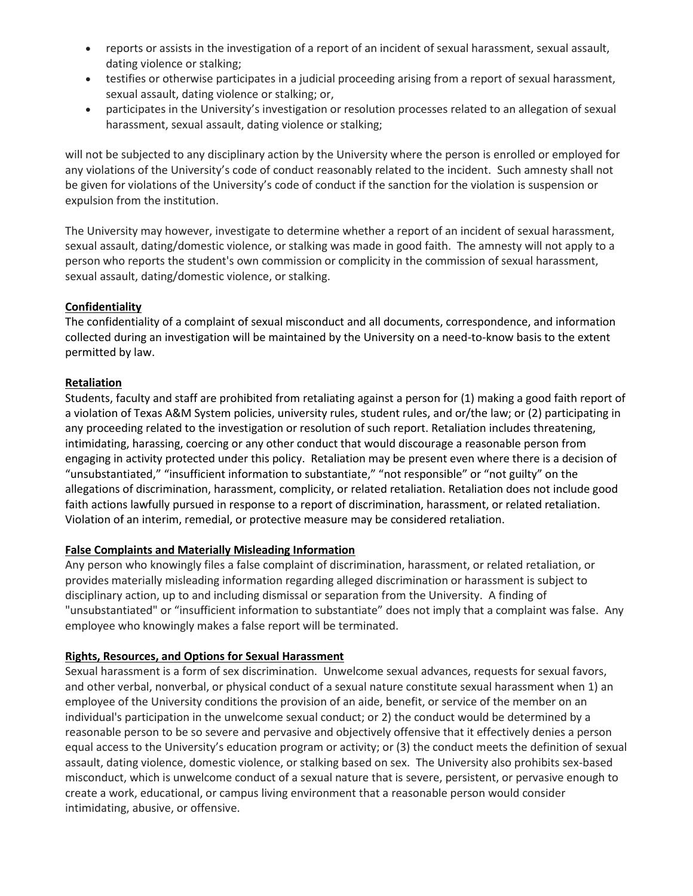- reports or assists in the investigation of a report of an incident of sexual harassment, sexual assault, dating violence or stalking;
- testifies or otherwise participates in a judicial proceeding arising from a report of sexual harassment, sexual assault, dating violence or stalking; or,
- participates in the University's investigation or resolution processes related to an allegation of sexual harassment, sexual assault, dating violence or stalking;

will not be subjected to any disciplinary action by the University where the person is enrolled or employed for any violations of the University's code of conduct reasonably related to the incident. Such amnesty shall not be given for violations of the University's code of conduct if the sanction for the violation is suspension or expulsion from the institution.

The University may however, investigate to determine whether a report of an incident of sexual harassment, sexual assault, dating/domestic violence, or stalking was made in good faith. The amnesty will not apply to a person who reports the student's own commission or complicity in the commission of sexual harassment, sexual assault, dating/domestic violence, or stalking.

## **Confidentiality**

The confidentiality of a complaint of sexual misconduct and all documents, correspondence, and information collected during an investigation will be maintained by the University on a need-to-know basis to the extent permitted by law.

### **Retaliation**

Students, faculty and staff are prohibited from retaliating against a person for (1) making a good faith report of a violation of Texas A&M System policies, university rules, student rules, and or/the law; or (2) participating in any proceeding related to the investigation or resolution of such report. Retaliation includes threatening, intimidating, harassing, coercing or any other conduct that would discourage a reasonable person from engaging in activity protected under this policy. Retaliation may be present even where there is a decision of "unsubstantiated," "insufficient information to substantiate," "not responsible" or "not guilty" on the allegations of discrimination, harassment, complicity, or related retaliation. Retaliation does not include good faith actions lawfully pursued in response to a report of discrimination, harassment, or related retaliation. Violation of an interim, remedial, or protective measure may be considered retaliation.

## **False Complaints and Materially Misleading Information**

Any person who knowingly files a false complaint of discrimination, harassment, or related retaliation, or provides materially misleading information regarding alleged discrimination or harassment is subject to disciplinary action, up to and including dismissal or separation from the University. A finding of "unsubstantiated" or "insufficient information to substantiate" does not imply that a complaint was false. Any employee who knowingly makes a false report will be terminated.

## **Rights, Resources, and Options for Sexual Harassment**

Sexual harassment is a form of sex discrimination. Unwelcome sexual advances, requests for sexual favors, and other verbal, nonverbal, or physical conduct of a sexual nature constitute sexual harassment when 1) an employee of the University conditions the provision of an aide, benefit, or service of the member on an individual's participation in the unwelcome sexual conduct; or 2) the conduct would be determined by a reasonable person to be so severe and pervasive and objectively offensive that it effectively denies a person equal access to the University's education program or activity; or (3) the conduct meets the definition of sexual assault, dating violence, domestic violence, or stalking based on sex. The University also prohibits sex-based misconduct, which is unwelcome conduct of a sexual nature that is severe, persistent, or pervasive enough to create a work, educational, or campus living environment that a reasonable person would consider intimidating, abusive, or offensive.